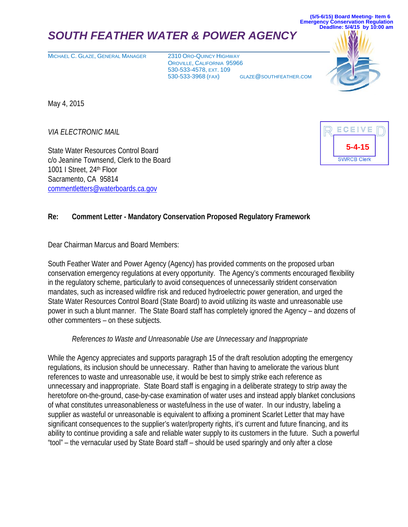## *SOUTH FEATHER WATER & POWER AGENCY*

MICHAEL C. GLAZE, GENERAL MANAGER 2310 ORO-QUINCY HIGHWAY

OROVILLE, CALIFORNIA 95966 530-533-4578, EXT. 109 530-533-3968 (FAX) GLAZE@SOUTHFEATHER.COM



**(5/5-6/15) Board Meeting- Item 6 Emergency Conservation Regulation**

May 4, 2015

*VIA ELECTRONIC MAIL*

State Water Resources Control Board c/o Jeanine Townsend, Clerk to the Board 1001 I Street, 24th Floor Sacramento, CA 95814 [commentletters@waterboards.ca.gov](mailto:jessica.bean@waterboards.ca.gov)



## **Re: Comment Letter - Mandatory Conservation Proposed Regulatory Framework**

Dear Chairman Marcus and Board Members:

South Feather Water and Power Agency (Agency) has provided comments on the proposed urban conservation emergency regulations at every opportunity. The Agency's comments encouraged flexibility in the regulatory scheme, particularly to avoid consequences of unnecessarily strident conservation mandates, such as increased wildfire risk and reduced hydroelectric power generation, and urged the State Water Resources Control Board (State Board) to avoid utilizing its waste and unreasonable use power in such a blunt manner. The State Board staff has completely ignored the Agency – and dozens of other commenters – on these subjects.

## *References to Waste and Unreasonable Use are Unnecessary and Inappropriate*

While the Agency appreciates and supports paragraph 15 of the draft resolution adopting the emergency regulations, its inclusion should be unnecessary. Rather than having to ameliorate the various blunt references to waste and unreasonable use, it would be best to simply strike each reference as unnecessary and inappropriate. State Board staff is engaging in a deliberate strategy to strip away the heretofore on-the-ground, case-by-case examination of water uses and instead apply blanket conclusions of what constitutes unreasonableness or wastefulness in the use of water. In our industry, labeling a supplier as wasteful or unreasonable is equivalent to affixing a prominent Scarlet Letter that may have significant consequences to the supplier's water/property rights, it's current and future financing, and its ability to continue providing a safe and reliable water supply to its customers in the future. Such a powerful "tool" – the vernacular used by State Board staff – should be used sparingly and only after a close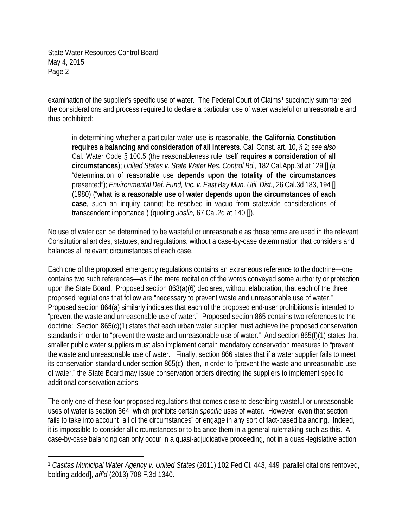examination of the supplier's specific use of water. The Federal Court of Claims<sup>[1](#page-1-0)</sup> succinctly summarized the considerations and process required to declare a particular use of water wasteful or unreasonable and thus prohibited:

in determining whether a particular water use is reasonable, **the California Constitution requires a balancing and consideration of all interests**. Cal. Const. art. 10, § 2; *see also* Cal. Water Code § 100.5 (the reasonableness rule itself **requires a consideration of all circumstances**); *United States v. State Water Res. Control Bd.,* 182 Cal.App.3d at 129 [] (a "determination of reasonable use **depends upon the totality of the circumstances** presented"); *Environmental Def. Fund, Inc. v. East Bay Mun. Util. Dist.,* 26 Cal.3d 183, 194 [] (1980) ("**what is a reasonable use of water depends upon the circumstances of each case**, such an inquiry cannot be resolved in vacuo from statewide considerations of transcendent importance") (quoting *Joslin,* 67 Cal.2d at 140 []).

No use of water can be determined to be wasteful or unreasonable as those terms are used in the relevant Constitutional articles, statutes, and regulations, without a case-by-case determination that considers and balances all relevant circumstances of each case.

Each one of the proposed emergency regulations contains an extraneous reference to the doctrine—one contains two such references—as if the mere recitation of the words conveyed some authority or protection upon the State Board. Proposed section 863(a)(6) declares, without elaboration, that each of the three proposed regulations that follow are "necessary to prevent waste and unreasonable use of water." Proposed section 864(a) similarly indicates that each of the proposed end-user prohibitions is intended to "prevent the waste and unreasonable use of water." Proposed section 865 contains two references to the doctrine: Section 865(c)(1) states that each urban water supplier must achieve the proposed conservation standards in order to "prevent the waste and unreasonable use of water." And section 865(f)(1) states that smaller public water suppliers must also implement certain mandatory conservation measures to "prevent the waste and unreasonable use of water." Finally, section 866 states that if a water supplier fails to meet its conservation standard under section 865(c), then, in order to "prevent the waste and unreasonable use of water," the State Board may issue conservation orders directing the suppliers to implement specific additional conservation actions.

The only one of these four proposed regulations that comes close to describing wasteful or unreasonable uses of water is section 864, which prohibits certain *specific* uses of water. However, even that section fails to take into account "all of the circumstances" or engage in any sort of fact-based balancing. Indeed, it is impossible to consider all circumstances or to balance them in a general rulemaking such as this. A case-by-case balancing can only occur in a quasi-adjudicative proceeding, not in a quasi-legislative action.

<span id="page-1-0"></span><sup>1</sup> *Casitas Municipal Water Agency v. United States* (2011) 102 Fed.Cl. 443, 449 [parallel citations removed, bolding added], *aff'd* (2013) 708 F.3d 1340.  $\overline{a}$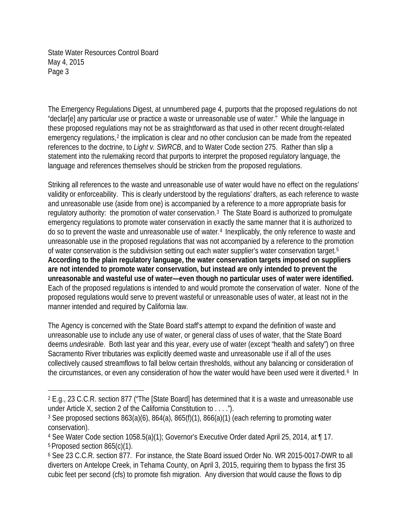$\overline{a}$ 

The Emergency Regulations Digest, at unnumbered page 4, purports that the proposed regulations do not "declar[e] any particular use or practice a waste or unreasonable use of water." While the language in these proposed regulations may not be as straightforward as that used in other recent drought-related emergency regulations,<sup>[2](#page-2-0)</sup> the implication is clear and no other conclusion can be made from the repeated references to the doctrine, to *Light v. SWRCB*, and to Water Code section 275. Rather than slip a statement into the rulemaking record that purports to interpret the proposed regulatory language, the language and references themselves should be stricken from the proposed regulations.

Striking all references to the waste and unreasonable use of water would have no effect on the regulations' validity or enforceability. This is clearly understood by the regulations' drafters, as each reference to waste and unreasonable use (aside from one) is accompanied by a reference to a more appropriate basis for regulatory authority: the promotion of water conservation.[3](#page-2-1) The State Board is authorized to promulgate emergency regulations to promote water conservation in exactly the same manner that it is authorized to do so to prevent the waste and unreasonable use of water.[4](#page-2-2) Inexplicably, the only reference to waste and unreasonable use in the proposed regulations that was not accompanied by a reference to the promotion of water conservation is the subdivision setting out each water supplier's water conservation target.[5](#page-2-3)  **According to the plain regulatory language, the water conservation targets imposed on suppliers are not intended to promote water conservation, but instead are only intended to prevent the unreasonable and wasteful use of water—even though no particular uses of water were identified.**  Each of the proposed regulations is intended to and would promote the conservation of water. None of the proposed regulations would serve to prevent wasteful or unreasonable uses of water, at least not in the manner intended and required by California law.

The Agency is concerned with the State Board staff's attempt to expand the definition of waste and unreasonable use to include any use of water, or general class of uses of water, that the State Board deems *undesirable*. Both last year and this year, every use of water (except "health and safety") on three Sacramento River tributaries was explicitly deemed waste and unreasonable use if all of the uses collectively caused streamflows to fall below certain thresholds, without any balancing or consideration of the circumstances, or even any consideration of how the water would have been used were it diverted.<sup>[6](#page-2-4)</sup> In

<span id="page-2-0"></span><sup>2</sup> E.g., 23 C.C.R. section 877 ("The [State Board] has determined that it is a waste and unreasonable use under Article X, section 2 of the California Constitution to . . . .").

<span id="page-2-1"></span><sup>3</sup> See proposed sections 863(a)(6), 864(a), 865(f)(1), 866(a)(1) (each referring to promoting water conservation).

<span id="page-2-3"></span><span id="page-2-2"></span><sup>4</sup> See Water Code section 1058.5(a)(1); Governor's Executive Order dated April 25, 2014, at ¶ 17. <sup>5</sup> Proposed section 865(c)(1).

<span id="page-2-4"></span><sup>6</sup> See 23 C.C.R. section 877. For instance, the State Board issued Order No. WR 2015-0017-DWR to all diverters on Antelope Creek, in Tehama County, on April 3, 2015, requiring them to bypass the first 35 cubic feet per second (cfs) to promote fish migration. Any diversion that would cause the flows to dip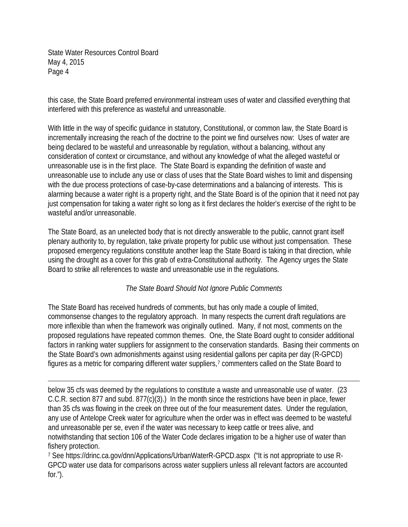this case, the State Board preferred environmental instream uses of water and classified everything that interfered with this preference as wasteful and unreasonable.

With little in the way of specific guidance in statutory, Constitutional, or common law, the State Board is incrementally increasing the reach of the doctrine to the point we find ourselves now: Uses of water are being declared to be wasteful and unreasonable by regulation, without a balancing, without any consideration of context or circumstance, and without any knowledge of what the alleged wasteful or unreasonable use is in the first place. The State Board is expanding the definition of waste and unreasonable use to include any use or class of uses that the State Board wishes to limit and dispensing with the due process protections of case-by-case determinations and a balancing of interests. This is alarming because a water right is a property right, and the State Board is of the opinion that it need not pay just compensation for taking a water right so long as it first declares the holder's exercise of the right to be wasteful and/or unreasonable.

The State Board, as an unelected body that is not directly answerable to the public, cannot grant itself plenary authority to, by regulation, take private property for public use without just compensation. These proposed emergency regulations constitute another leap the State Board is taking in that direction, while using the drought as a cover for this grab of extra-Constitutional authority. The Agency urges the State Board to strike all references to waste and unreasonable use in the regulations.

## *The State Board Should Not Ignore Public Comments*

The State Board has received hundreds of comments, but has only made a couple of limited, commonsense changes to the regulatory approach. In many respects the current draft regulations are more inflexible than when the framework was originally outlined. Many, if not most, comments on the proposed regulations have repeated common themes. One, the State Board ought to consider additional factors in ranking water suppliers for assignment to the conservation standards. Basing their comments on the State Board's own admonishments against using residential gallons per capita per day (R-GPCD) figures as a metric for comparing different water suppliers,<sup>[7](#page-3-0)</sup> commenters called on the State Board to

below 35 cfs was deemed by the regulations to constitute a waste and unreasonable use of water. (23 C.C.R. section 877 and subd. 877(c)(3).) In the month since the restrictions have been in place, fewer than 35 cfs was flowing in the creek on three out of the four measurement dates. Under the regulation, any use of Antelope Creek water for agriculture when the order was in effect was deemed to be wasteful and unreasonable per se, even if the water was necessary to keep cattle or trees alive, and notwithstanding that section 106 of the Water Code declares irrigation to be a higher use of water than fishery protection.  $\overline{a}$ 

<span id="page-3-0"></span><sup>7</sup> See https://drinc.ca.gov/dnn/Applications/UrbanWaterR-GPCD.aspx ("It is not appropriate to use R-GPCD water use data for comparisons across water suppliers unless all relevant factors are accounted for. $")$ .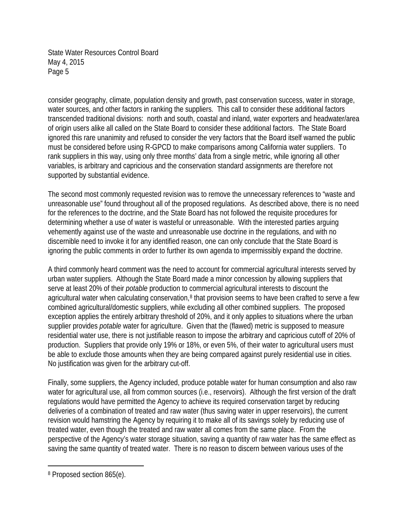consider geography, climate, population density and growth, past conservation success, water in storage, water sources, and other factors in ranking the suppliers. This call to consider these additional factors transcended traditional divisions: north and south, coastal and inland, water exporters and headwater/area of origin users alike all called on the State Board to consider these additional factors. The State Board ignored this rare unanimity and refused to consider the very factors that the Board itself warned the public must be considered before using R-GPCD to make comparisons among California water suppliers. To rank suppliers in this way, using only three months' data from a single metric, while ignoring all other variables, is arbitrary and capricious and the conservation standard assignments are therefore not supported by substantial evidence.

The second most commonly requested revision was to remove the unnecessary references to "waste and unreasonable use" found throughout all of the proposed regulations. As described above, there is no need for the references to the doctrine, and the State Board has not followed the requisite procedures for determining whether a use of water is wasteful or unreasonable. With the interested parties arguing vehemently against use of the waste and unreasonable use doctrine in the regulations, and with no discernible need to invoke it for any identified reason, one can only conclude that the State Board is ignoring the public comments in order to further its own agenda to impermissibly expand the doctrine.

A third commonly heard comment was the need to account for commercial agricultural interests served by urban water suppliers. Although the State Board made a minor concession by allowing suppliers that serve at least 20% of their *potable* production to commercial agricultural interests to discount the agricultural water when calculating conservation,<sup>[8](#page-4-0)</sup> that provision seems to have been crafted to serve a few combined agricultural/domestic suppliers, while excluding all other combined suppliers. The proposed exception applies the entirely arbitrary threshold of 20%, and it only applies to situations where the urban supplier provides *potable* water for agriculture. Given that the (flawed) metric is supposed to measure residential water use, there is not justifiable reason to impose the arbitrary and capricious cutoff of 20% of production. Suppliers that provide only 19% or 18%, or even 5%, of their water to agricultural users must be able to exclude those amounts when they are being compared against purely residential use in cities. No justification was given for the arbitrary cut-off.

Finally, some suppliers, the Agency included, produce potable water for human consumption and also raw water for agricultural use, all from common sources (i.e., reservoirs). Although the first version of the draft regulations would have permitted the Agency to achieve its required conservation target by reducing deliveries of a combination of treated and raw water (thus saving water in upper reservoirs), the current revision would hamstring the Agency by requiring it to make all of its savings solely by reducing use of treated water, even though the treated and raw water all comes from the same place. From the perspective of the Agency's water storage situation, saving a quantity of raw water has the same effect as saving the same quantity of treated water. There is no reason to discern between various uses of the

<span id="page-4-0"></span><sup>8</sup> Proposed section 865(e).  $\overline{a}$